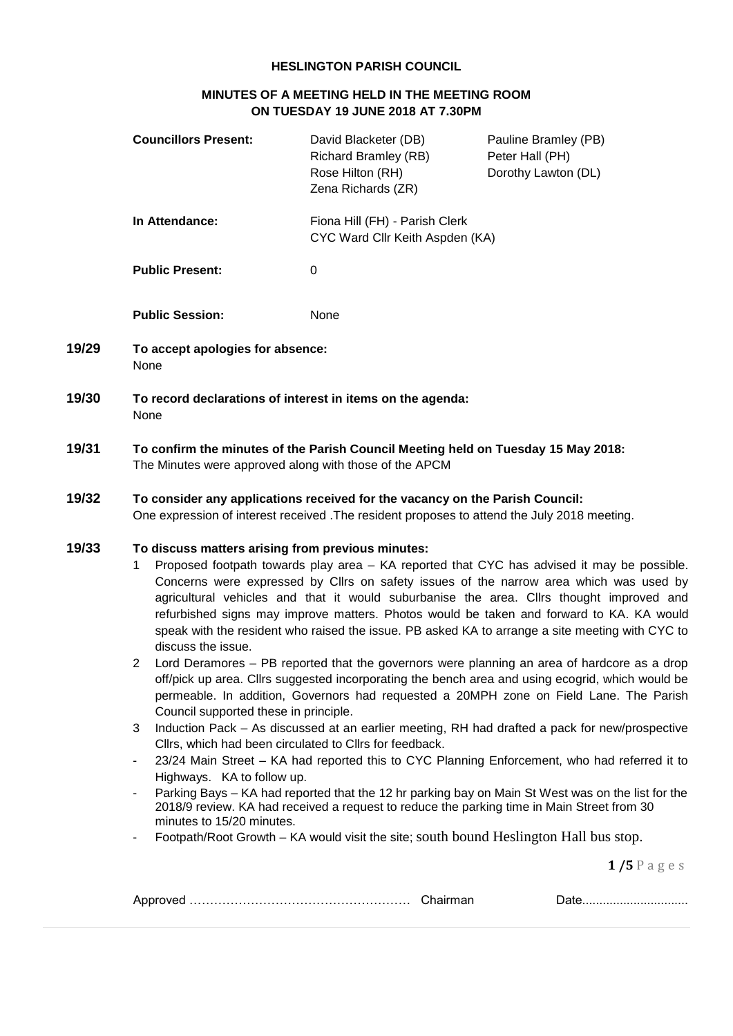## **HESLINGTON PARISH COUNCIL**

# **MINUTES OF A MEETING HELD IN THE MEETING ROOM ON TUESDAY 19 JUNE 2018 AT 7.30PM**

|       | <b>Councillors Present:</b>                                                                                                                                                                                                                                                                                                                                                                                                                                                                                                                                                                                                                                                                                                                                                                                                                                                                                | David Blacketer (DB)<br><b>Richard Bramley (RB)</b><br>Rose Hilton (RH)<br>Zena Richards (ZR) | Pauline Bramley (PB)<br>Peter Hall (PH)<br>Dorothy Lawton (DL) |
|-------|------------------------------------------------------------------------------------------------------------------------------------------------------------------------------------------------------------------------------------------------------------------------------------------------------------------------------------------------------------------------------------------------------------------------------------------------------------------------------------------------------------------------------------------------------------------------------------------------------------------------------------------------------------------------------------------------------------------------------------------------------------------------------------------------------------------------------------------------------------------------------------------------------------|-----------------------------------------------------------------------------------------------|----------------------------------------------------------------|
|       | In Attendance:                                                                                                                                                                                                                                                                                                                                                                                                                                                                                                                                                                                                                                                                                                                                                                                                                                                                                             | Fiona Hill (FH) - Parish Clerk<br>CYC Ward Cllr Keith Aspden (KA)                             |                                                                |
|       | <b>Public Present:</b>                                                                                                                                                                                                                                                                                                                                                                                                                                                                                                                                                                                                                                                                                                                                                                                                                                                                                     | $\mathbf 0$                                                                                   |                                                                |
|       | <b>Public Session:</b>                                                                                                                                                                                                                                                                                                                                                                                                                                                                                                                                                                                                                                                                                                                                                                                                                                                                                     | None                                                                                          |                                                                |
| 19/29 | To accept apologies for absence:<br>None                                                                                                                                                                                                                                                                                                                                                                                                                                                                                                                                                                                                                                                                                                                                                                                                                                                                   |                                                                                               |                                                                |
| 19/30 | To record declarations of interest in items on the agenda:<br>None                                                                                                                                                                                                                                                                                                                                                                                                                                                                                                                                                                                                                                                                                                                                                                                                                                         |                                                                                               |                                                                |
| 19/31 | To confirm the minutes of the Parish Council Meeting held on Tuesday 15 May 2018:<br>The Minutes were approved along with those of the APCM                                                                                                                                                                                                                                                                                                                                                                                                                                                                                                                                                                                                                                                                                                                                                                |                                                                                               |                                                                |
| 19/32 | To consider any applications received for the vacancy on the Parish Council:<br>One expression of interest received . The resident proposes to attend the July 2018 meeting.                                                                                                                                                                                                                                                                                                                                                                                                                                                                                                                                                                                                                                                                                                                               |                                                                                               |                                                                |
| 19/33 | To discuss matters arising from previous minutes:<br>Proposed footpath towards play area - KA reported that CYC has advised it may be possible.<br>1<br>Concerns were expressed by Cllrs on safety issues of the narrow area which was used by<br>agricultural vehicles and that it would suburbanise the area. Cllrs thought improved and<br>refurbished signs may improve matters. Photos would be taken and forward to KA. KA would<br>speak with the resident who raised the issue. PB asked KA to arrange a site meeting with CYC to<br>discuss the issue.<br>Lord Deramores - PB reported that the governors were planning an area of hardcore as a drop<br>2<br>off/pick up area. Cllrs suggested incorporating the bench area and using ecogrid, which would be<br>permeable. In addition, Governors had requested a 20MPH zone on Field Lane. The Parish<br>Council supported these in principle. |                                                                                               |                                                                |

- 3 Induction Pack As discussed at an earlier meeting, RH had drafted a pack for new/prospective Cllrs, which had been circulated to Cllrs for feedback.
- 23/24 Main Street KA had reported this to CYC Planning Enforcement, who had referred it to Highways. KA to follow up.
- Parking Bays KA had reported that the 12 hr parking bay on Main St West was on the list for the 2018/9 review. KA had received a request to reduce the parking time in Main Street from 30 minutes to 15/20 minutes.
- Footpath/Root Growth KA would visit the site; south bound Heslington Hall bus stop.

**1 /5** P a g e s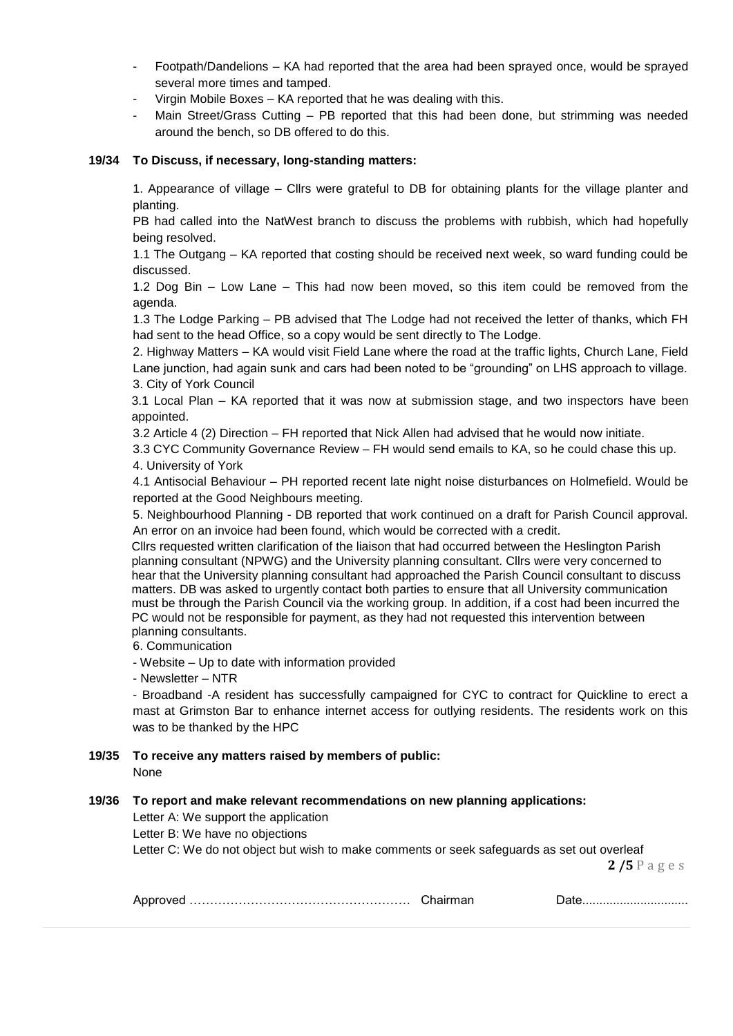- Footpath/Dandelions KA had reported that the area had been sprayed once, would be sprayed several more times and tamped.
- Virgin Mobile Boxes KA reported that he was dealing with this.
- Main Street/Grass Cutting PB reported that this had been done, but strimming was needed around the bench, so DB offered to do this.

## **19/34 To Discuss, if necessary, long-standing matters:**

1. Appearance of village – Cllrs were grateful to DB for obtaining plants for the village planter and planting.

PB had called into the NatWest branch to discuss the problems with rubbish, which had hopefully being resolved.

1.1 The Outgang – KA reported that costing should be received next week, so ward funding could be discussed.

1.2 Dog Bin – Low Lane – This had now been moved, so this item could be removed from the agenda.

1.3 The Lodge Parking – PB advised that The Lodge had not received the letter of thanks, which FH had sent to the head Office, so a copy would be sent directly to The Lodge.

2. Highway Matters – KA would visit Field Lane where the road at the traffic lights, Church Lane, Field Lane junction, had again sunk and cars had been noted to be "grounding" on LHS approach to village. 3. City of York Council

3.1 Local Plan – KA reported that it was now at submission stage, and two inspectors have been appointed.

3.2 Article 4 (2) Direction – FH reported that Nick Allen had advised that he would now initiate.

3.3 CYC Community Governance Review – FH would send emails to KA, so he could chase this up. 4. University of York

4.1 Antisocial Behaviour – PH reported recent late night noise disturbances on Holmefield. Would be reported at the Good Neighbours meeting.

5. Neighbourhood Planning - DB reported that work continued on a draft for Parish Council approval. An error on an invoice had been found, which would be corrected with a credit.

Cllrs requested written clarification of the liaison that had occurred between the Heslington Parish planning consultant (NPWG) and the University planning consultant. Cllrs were very concerned to hear that the University planning consultant had approached the Parish Council consultant to discuss matters. DB was asked to urgently contact both parties to ensure that all University communication must be through the Parish Council via the working group. In addition, if a cost had been incurred the PC would not be responsible for payment, as they had not requested this intervention between planning consultants.

6. Communication

- Website – Up to date with information provided

- Newsletter – NTR

- Broadband -A resident has successfully campaigned for CYC to contract for Quickline to erect a mast at Grimston Bar to enhance internet access for outlying residents. The residents work on this was to be thanked by the HPC

**19/35 To receive any matters raised by members of public:**  None

#### **19/36 To report and make relevant recommendations on new planning applications:**

Letter A: We support the application

Letter B: We have no objections

Letter C: We do not object but wish to make comments or seek safeguards as set out overleaf

**2 /5** P a g e s

| .<br>, ve |  |  |
|-----------|--|--|
|-----------|--|--|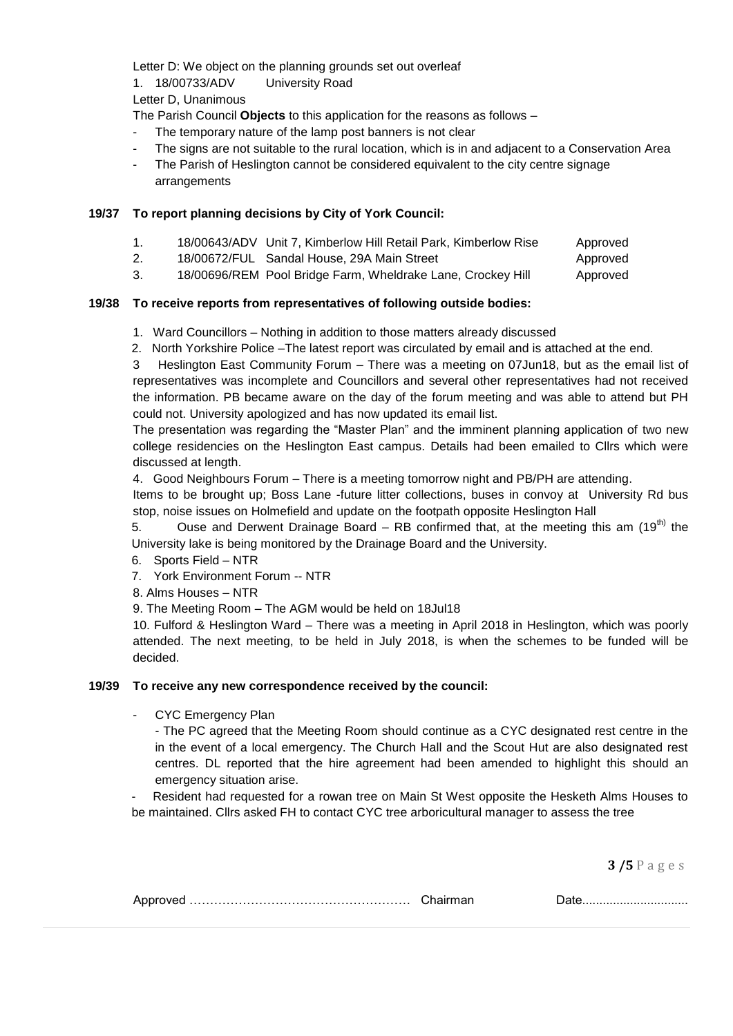Letter D: We object on the planning grounds set out overleaf

1. 18/00733/ADV University Road

Letter D, Unanimous

The Parish Council **Objects** to this application for the reasons as follows –

- The temporary nature of the lamp post banners is not clear
- The signs are not suitable to the rural location, which is in and adjacent to a Conservation Area
- The Parish of Heslington cannot be considered equivalent to the city centre signage arrangements

# **19/37 To report planning decisions by City of York Council:**

- 1. 18/00643/ADV Unit 7, Kimberlow Hill Retail Park, Kimberlow Rise Approved
- 2. 18/00672/FUL Sandal House, 29A Main Street Approved
- 3. 18/00696/REM Pool Bridge Farm, Wheldrake Lane, Crockey Hill Approved

# **19/38 To receive reports from representatives of following outside bodies:**

- 1. Ward Councillors Nothing in addition to those matters already discussed
- 2. North Yorkshire Police –The latest report was circulated by email and is attached at the end.

3 Heslington East Community Forum – There was a meeting on 07Jun18, but as the email list of representatives was incomplete and Councillors and several other representatives had not received the information. PB became aware on the day of the forum meeting and was able to attend but PH could not. University apologized and has now updated its email list.

The presentation was regarding the "Master Plan" and the imminent planning application of two new college residencies on the Heslington East campus. Details had been emailed to Cllrs which were discussed at length.

4. Good Neighbours Forum – There is a meeting tomorrow night and PB/PH are attending.

Items to be brought up; Boss Lane -future litter collections, buses in convoy at University Rd bus stop, noise issues on Holmefield and update on the footpath opposite Heslington Hall

5. Ouse and Derwent Drainage Board – RB confirmed that, at the meeting this am  $(19^{th})$  the University lake is being monitored by the Drainage Board and the University.

- 6. Sports Field NTR
- 7. York Environment Forum -- NTR
- 8. Alms Houses NTR

9. The Meeting Room – The AGM would be held on 18Jul18

10. Fulford & Heslington Ward – There was a meeting in April 2018 in Heslington, which was poorly attended. The next meeting, to be held in July 2018, is when the schemes to be funded will be decided.

## **19/39 To receive any new correspondence received by the council:**

- CYC Emergency Plan

- The PC agreed that the Meeting Room should continue as a CYC designated rest centre in the in the event of a local emergency. The Church Hall and the Scout Hut are also designated rest centres. DL reported that the hire agreement had been amended to highlight this should an emergency situation arise.

Resident had requested for a rowan tree on Main St West opposite the Hesketh Alms Houses to be maintained. Cllrs asked FH to contact CYC tree arboricultural manager to assess the tree

**3 /5** P a g e s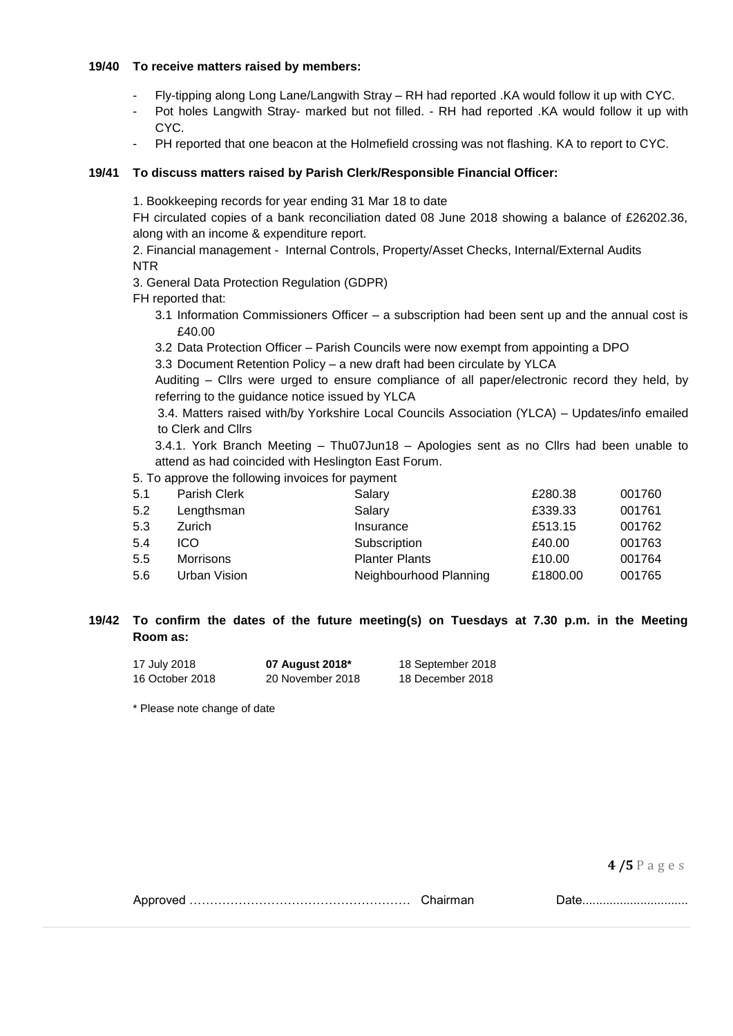#### **19/40 To receive matters raised by members:**

- Fly-tipping along Long Lane/Langwith Stray RH had reported .KA would follow it up with CYC.
- Pot holes Langwith Stray- marked but not filled. RH had reported .KA would follow it up with CYC.
- PH reported that one beacon at the Holmefield crossing was not flashing. KA to report to CYC.

## **19/41 To discuss matters raised by Parish Clerk/Responsible Financial Officer:**

1. Bookkeeping records for year ending 31 Mar 18 to date

FH circulated copies of a bank reconciliation dated 08 June 2018 showing a balance of £26202.36, along with an income & expenditure report.

2. Financial management - Internal Controls, Property/Asset Checks, Internal/External Audits NTR

3. General Data Protection Regulation (GDPR)

- FH reported that:
	- 3.1 Information Commissioners Officer a subscription had been sent up and the annual cost is £40.00
	- 3.2 Data Protection Officer Parish Councils were now exempt from appointing a DPO

3.3 Document Retention Policy – a new draft had been circulate by YLCA

Auditing – Cllrs were urged to ensure compliance of all paper/electronic record they held, by referring to the guidance notice issued by YLCA

3.4. Matters raised with/by Yorkshire Local Councils Association (YLCA) – Updates/info emailed to Clerk and Cllrs

3.4.1. York Branch Meeting – Thu07Jun18 – Apologies sent as no Cllrs had been unable to attend as had coincided with Heslington East Forum.

5. To approve the following invoices for payment

| Parish Clerk     | Salary                 | £280.38  | 001760 |
|------------------|------------------------|----------|--------|
| Lengthsman       | Salary                 | £339.33  | 001761 |
| Zurich           | Insurance              | £513.15  | 001762 |
| ICO.             | Subscription           | £40.00   | 001763 |
| <b>Morrisons</b> | <b>Planter Plants</b>  | £10.00   | 001764 |
| Urban Vision     | Neighbourhood Planning | £1800.00 | 001765 |
|                  |                        |          |        |

# **19/42 To confirm the dates of the future meeting(s) on Tuesdays at 7.30 p.m. in the Meeting Room as:**

| 17 July 2018    | 07 August 2018*  | 18 September 2018 |
|-----------------|------------------|-------------------|
| 16 October 2018 | 20 November 2018 | 18 December 2018  |

\* Please note change of date

**4 /5** P a g e s

Approved ……………………………………………… Chairman Date...............................